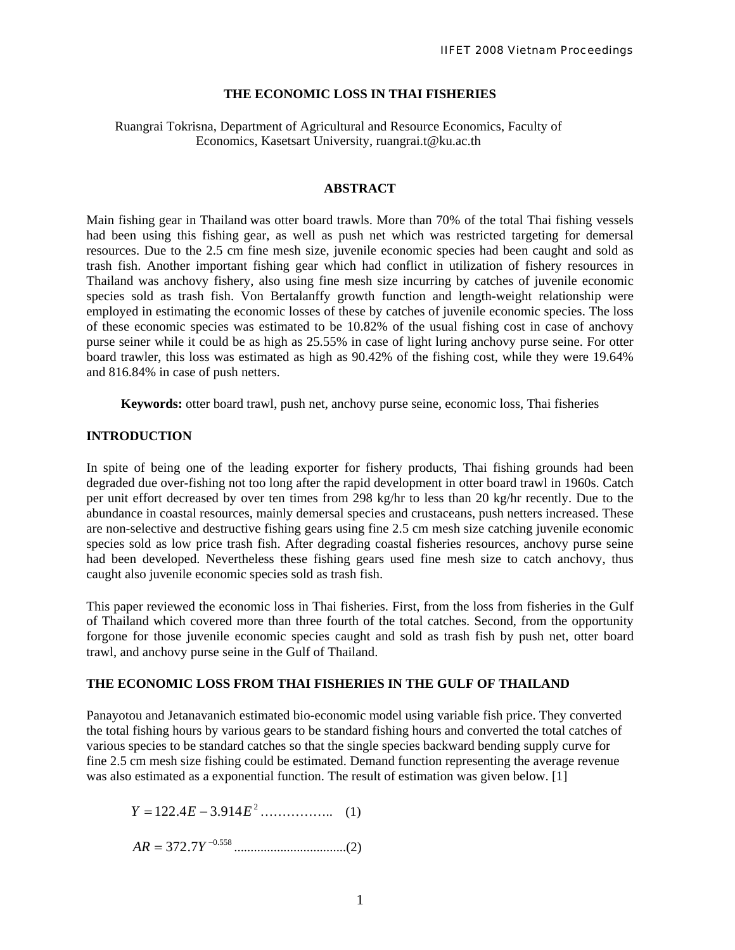### **THE ECONOMIC LOSS IN THAI FISHERIES**

### Ruangrai Tokrisna, Department of Agricultural and Resource Economics, Faculty of Economics, Kasetsart University, ruangrai.t@ku.ac.th

#### **ABSTRACT**

Main fishing gear in Thailand was otter board trawls. More than 70% of the total Thai fishing vessels had been using this fishing gear, as well as push net which was restricted targeting for demersal resources. Due to the 2.5 cm fine mesh size, juvenile economic species had been caught and sold as trash fish. Another important fishing gear which had conflict in utilization of fishery resources in Thailand was anchovy fishery, also using fine mesh size incurring by catches of juvenile economic species sold as trash fish. Von Bertalanffy growth function and length-weight relationship were employed in estimating the economic losses of these by catches of juvenile economic species. The loss of these economic species was estimated to be 10.82% of the usual fishing cost in case of anchovy purse seiner while it could be as high as 25.55% in case of light luring anchovy purse seine. For otter board trawler, this loss was estimated as high as 90.42% of the fishing cost, while they were 19.64% and 816.84% in case of push netters.

**Keywords:** otter board trawl, push net, anchovy purse seine, economic loss, Thai fisheries

## **INTRODUCTION**

In spite of being one of the leading exporter for fishery products, Thai fishing grounds had been degraded due over-fishing not too long after the rapid development in otter board trawl in 1960s. Catch per unit effort decreased by over ten times from 298 kg/hr to less than 20 kg/hr recently. Due to the abundance in coastal resources, mainly demersal species and crustaceans, push netters increased. These are non-selective and destructive fishing gears using fine 2.5 cm mesh size catching juvenile economic species sold as low price trash fish. After degrading coastal fisheries resources, anchovy purse seine had been developed. Nevertheless these fishing gears used fine mesh size to catch anchovy, thus caught also juvenile economic species sold as trash fish.

This paper reviewed the economic loss in Thai fisheries. First, from the loss from fisheries in the Gulf of Thailand which covered more than three fourth of the total catches. Second, from the opportunity forgone for those juvenile economic species caught and sold as trash fish by push net, otter board trawl, and anchovy purse seine in the Gulf of Thailand.

### **THE ECONOMIC LOSS FROM THAI FISHERIES IN THE GULF OF THAILAND**

Panayotou and Jetanavanich estimated bio-economic model using variable fish price. They converted the total fishing hours by various gears to be standard fishing hours and converted the total catches of various species to be standard catches so that the single species backward bending supply curve for fine 2.5 cm mesh size fishing could be estimated. Demand function representing the average revenue was also estimated as a exponential function. The result of estimation was given below. [1]

…………….. (1) 2 −= 914.34.122 *EEY*

..................................(2) 558.0 7.372 <sup>−</sup> *AR* = *Y*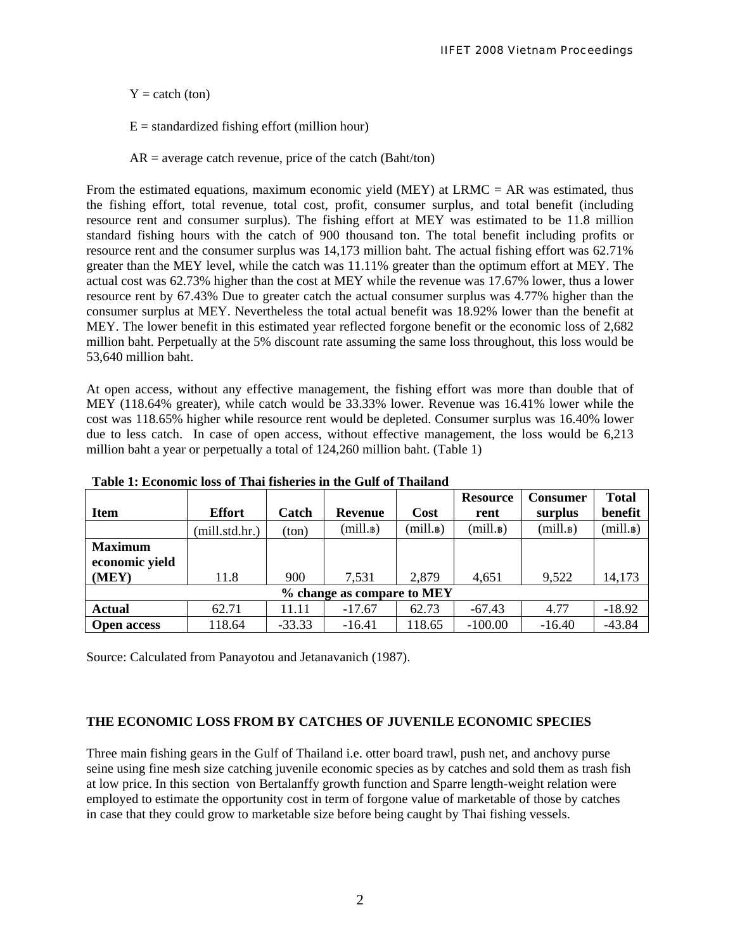$Y = \text{catch (ton)}$ 

 $E =$  standardized fishing effort (million hour)

 $AR = average$  catch revenue, price of the catch (Baht/ton)

From the estimated equations, maximum economic yield (MEY) at  $LRMC = AR$  was estimated, thus the fishing effort, total revenue, total cost, profit, consumer surplus, and total benefit (including resource rent and consumer surplus). The fishing effort at MEY was estimated to be 11.8 million standard fishing hours with the catch of 900 thousand ton. The total benefit including profits or resource rent and the consumer surplus was 14,173 million baht. The actual fishing effort was 62.71% greater than the MEY level, while the catch was 11.11% greater than the optimum effort at MEY. The actual cost was 62.73% higher than the cost at MEY while the revenue was 17.67% lower, thus a lower resource rent by 67.43% Due to greater catch the actual consumer surplus was 4.77% higher than the consumer surplus at MEY. Nevertheless the total actual benefit was 18.92% lower than the benefit at MEY. The lower benefit in this estimated year reflected forgone benefit or the economic loss of 2,682 million baht. Perpetually at the 5% discount rate assuming the same loss throughout, this loss would be 53,640 million baht.

At open access, without any effective management, the fishing effort was more than double that of MEY (118.64% greater), while catch would be 33.33% lower. Revenue was 16.41% lower while the cost was 118.65% higher while resource rent would be depleted. Consumer surplus was 16.40% lower due to less catch. In case of open access, without effective management, the loss would be 6,213 million baht a year or perpetually a total of 124,260 million baht. (Table 1)

|                            |                |          |              |            | <b>Resource</b> | <b>Consumer</b> | <b>Total</b> |  |
|----------------------------|----------------|----------|--------------|------------|-----------------|-----------------|--------------|--|
| <b>Item</b>                | <b>Effort</b>  | Catch    | Revenue      | Cost       | rent            | surplus         | benefit      |  |
|                            | (mill.std.hr.) | (ton)    | $(mill.\nB)$ | $(mill.\n$ | $(mill.\n$      | $(mill.\nB)$    | $(mill.\n$   |  |
| <b>Maximum</b>             |                |          |              |            |                 |                 |              |  |
| economic yield             |                |          |              |            |                 |                 |              |  |
| (MEY)                      | 11.8           | 900      | 7,531        | 2,879      | 4,651           | 9,522           | 14,173       |  |
| % change as compare to MEY |                |          |              |            |                 |                 |              |  |
| <b>Actual</b>              | 62.71          | 11.11    | $-17.67$     | 62.73      | $-67.43$        | 4.77            | $-18.92$     |  |
| <b>Open access</b>         | 118.64         | $-33.33$ | $-16.41$     | 118.65     | $-100.00$       | $-16.40$        | $-43.84$     |  |

**Table 1: Economic loss of Thai fisheries in the Gulf of Thailand**

Source: Calculated from Panayotou and Jetanavanich (1987).

## **THE ECONOMIC LOSS FROM BY CATCHES OF JUVENILE ECONOMIC SPECIES**

Three main fishing gears in the Gulf of Thailand i.e. otter board trawl, push net, and anchovy purse seine using fine mesh size catching juvenile economic species as by catches and sold them as trash fish at low price. In this section von Bertalanffy growth function and Sparre length-weight relation were employed to estimate the opportunity cost in term of forgone value of marketable of those by catches in case that they could grow to marketable size before being caught by Thai fishing vessels.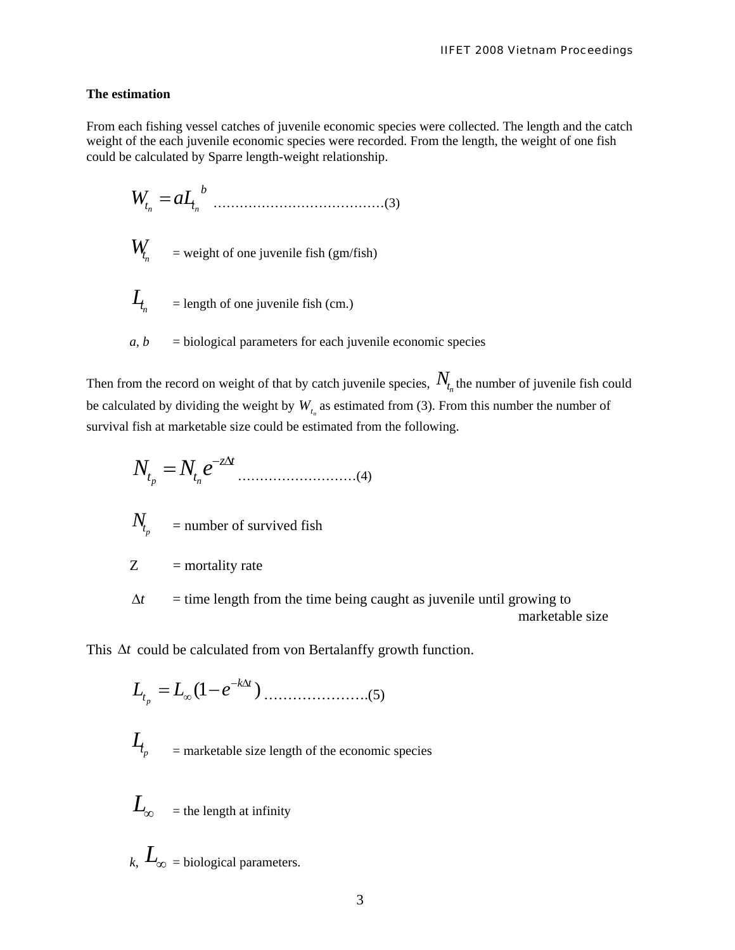### **The estimation**

From each fishing vessel catches of juvenile economic species were collected. The length and the catch weight of the each juvenile economic species were recorded. From the length, the weight of one fish could be calculated by Sparre length-weight relationship.

 …………………………………(3) *b ttn <sup>n</sup>* = *aLW*

 $W_{t_n}$  = weight of one juvenile fish (gm/fish)

$$
I_{t_n} = \text{length of one juvenile fish (cm.)}
$$

 $a, b$  = biological parameters for each juvenile economic species

Then from the record on weight of that by catch juvenile species,  $N_{t_n}$  the number of juvenile fish could be calculated by dividing the weight by  $W_{t_n}$  as estimated from (3). From this number the number of survival fish at marketable size could be estimated from the following.

………………………(4) *tz tt eNN p n* Δ− =

$$
N_{t_p} = \text{number of survived fish}
$$

 $Z =$  mortality rate

 $=$  time length from the time being caught as juvenile until growing to marketable size Δ*t*

This Δ*t* could be calculated from von Bertalanffy growth function.

………………….(5) )1( *tk <sup>t</sup> eLL <sup>p</sup>* Δ− <sup>∞</sup> −=

$$
I_{t_p} =
$$
marketable size length of the economic species

 $L_{\infty}$  = the length at infinity *k*,  $L_{\infty}$  = biological parameters.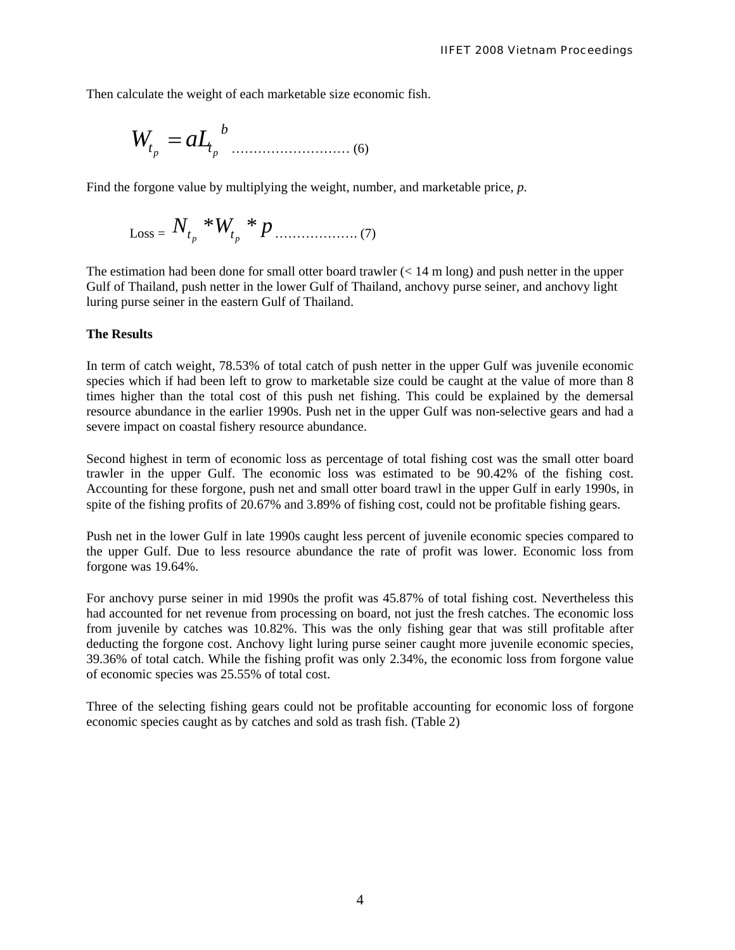Then calculate the weight of each marketable size economic fish.

……………………… (6) *b ttp <sup>p</sup>* = *aLW*

Find the forgone value by multiplying the weight, number, and marketable price, *p*.

$$
Loss = N_{t_p} * W_{t_p} * p \dots (7)
$$

The estimation had been done for small otter board trawler  $(< 14 \text{ m long})$  and push netter in the upper Gulf of Thailand, push netter in the lower Gulf of Thailand, anchovy purse seiner, and anchovy light luring purse seiner in the eastern Gulf of Thailand.

#### **The Results**

In term of catch weight, 78.53% of total catch of push netter in the upper Gulf was juvenile economic species which if had been left to grow to marketable size could be caught at the value of more than 8 times higher than the total cost of this push net fishing. This could be explained by the demersal resource abundance in the earlier 1990s. Push net in the upper Gulf was non-selective gears and had a severe impact on coastal fishery resource abundance.

Second highest in term of economic loss as percentage of total fishing cost was the small otter board trawler in the upper Gulf. The economic loss was estimated to be 90.42% of the fishing cost. Accounting for these forgone, push net and small otter board trawl in the upper Gulf in early 1990s, in spite of the fishing profits of 20.67% and 3.89% of fishing cost, could not be profitable fishing gears.

Push net in the lower Gulf in late 1990s caught less percent of juvenile economic species compared to the upper Gulf. Due to less resource abundance the rate of profit was lower. Economic loss from forgone was 19.64%.

For anchovy purse seiner in mid 1990s the profit was 45.87% of total fishing cost. Nevertheless this had accounted for net revenue from processing on board, not just the fresh catches. The economic loss from juvenile by catches was 10.82%. This was the only fishing gear that was still profitable after deducting the forgone cost. Anchovy light luring purse seiner caught more juvenile economic species, 39.36% of total catch. While the fishing profit was only 2.34%, the economic loss from forgone value of economic species was 25.55% of total cost.

Three of the selecting fishing gears could not be profitable accounting for economic loss of forgone economic species caught as by catches and sold as trash fish. (Table 2)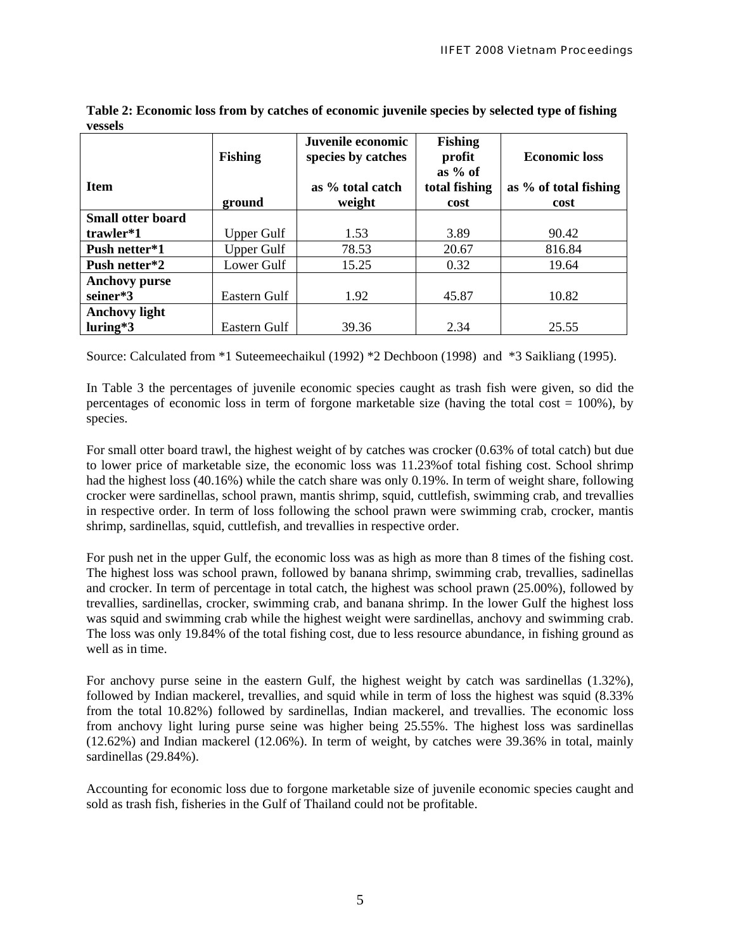|                          | <b>Fishing</b>    | Juvenile economic<br>species by catches | <b>Fishing</b><br>profit<br>as $%$ of | <b>Economic loss</b>          |  |
|--------------------------|-------------------|-----------------------------------------|---------------------------------------|-------------------------------|--|
| <b>Item</b><br>ground    |                   | as % total catch<br>weight              | total fishing<br>cost                 | as % of total fishing<br>cost |  |
| <b>Small otter board</b> |                   |                                         |                                       |                               |  |
| trawler*1                | Upper Gulf        | 1.53                                    | 3.89                                  | 90.42                         |  |
| Push netter*1            | <b>Upper Gulf</b> | 78.53                                   | 20.67                                 | 816.84                        |  |
| Push netter*2            | Lower Gulf        | 15.25                                   | 0.32                                  | 19.64                         |  |
| <b>Anchovy purse</b>     |                   |                                         |                                       |                               |  |
| seiner*3                 | Eastern Gulf      | 1.92                                    | 45.87                                 | 10.82                         |  |
| <b>Anchovy light</b>     |                   |                                         |                                       |                               |  |
| $luring*3$               | Eastern Gulf      | 39.36                                   | 2.34                                  | 25.55                         |  |

**Table 2: Economic loss from by catches of economic juvenile species by selected type of fishing vessels** 

Source: Calculated from \*1 Suteemeechaikul (1992) \*2 Dechboon (1998) and \*3 Saikliang (1995).

In Table 3 the percentages of juvenile economic species caught as trash fish were given, so did the percentages of economic loss in term of forgone marketable size (having the total cost  $= 100\%$ ), by species.

For small otter board trawl, the highest weight of by catches was crocker (0.63% of total catch) but due to lower price of marketable size, the economic loss was 11.23%of total fishing cost. School shrimp had the highest loss (40.16%) while the catch share was only 0.19%. In term of weight share, following crocker were sardinellas, school prawn, mantis shrimp, squid, cuttlefish, swimming crab, and trevallies in respective order. In term of loss following the school prawn were swimming crab, crocker, mantis shrimp, sardinellas, squid, cuttlefish, and trevallies in respective order.

For push net in the upper Gulf, the economic loss was as high as more than 8 times of the fishing cost. The highest loss was school prawn, followed by banana shrimp, swimming crab, trevallies, sadinellas and crocker. In term of percentage in total catch, the highest was school prawn (25.00%), followed by trevallies, sardinellas, crocker, swimming crab, and banana shrimp. In the lower Gulf the highest loss was squid and swimming crab while the highest weight were sardinellas, anchovy and swimming crab. The loss was only 19.84% of the total fishing cost, due to less resource abundance, in fishing ground as well as in time.

For anchovy purse seine in the eastern Gulf, the highest weight by catch was sardinellas (1.32%), followed by Indian mackerel, trevallies, and squid while in term of loss the highest was squid (8.33% from the total 10.82%) followed by sardinellas, Indian mackerel, and trevallies. The economic loss from anchovy light luring purse seine was higher being 25.55%. The highest loss was sardinellas (12.62%) and Indian mackerel (12.06%). In term of weight, by catches were 39.36% in total, mainly sardinellas (29.84%).

Accounting for economic loss due to forgone marketable size of juvenile economic species caught and sold as trash fish, fisheries in the Gulf of Thailand could not be profitable.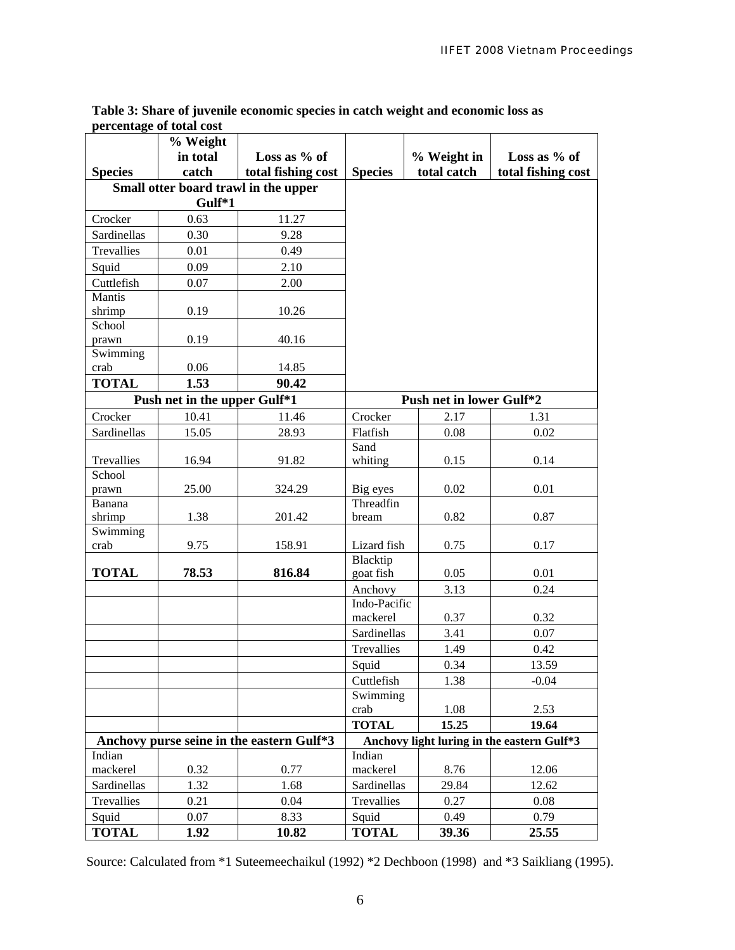|                    | % Weight                                  |                                      |                                                     |                                            |              |  |  |  |
|--------------------|-------------------------------------------|--------------------------------------|-----------------------------------------------------|--------------------------------------------|--------------|--|--|--|
|                    | in total                                  | Loss as % of                         |                                                     | % Weight in                                | Loss as % of |  |  |  |
| <b>Species</b>     | catch                                     | total fishing cost                   | total catch<br>total fishing cost<br><b>Species</b> |                                            |              |  |  |  |
|                    | Gulf*1                                    | Small otter board trawl in the upper |                                                     |                                            |              |  |  |  |
|                    |                                           |                                      |                                                     |                                            |              |  |  |  |
| Crocker            | 0.63                                      | 11.27                                |                                                     |                                            |              |  |  |  |
| Sardinellas        | 0.30                                      | 9.28                                 |                                                     |                                            |              |  |  |  |
| Trevallies         | 0.01                                      | 0.49                                 |                                                     |                                            |              |  |  |  |
| Squid              | 0.09                                      | 2.10                                 |                                                     |                                            |              |  |  |  |
| Cuttlefish         | 0.07                                      | 2.00                                 |                                                     |                                            |              |  |  |  |
| Mantis             |                                           |                                      |                                                     |                                            |              |  |  |  |
| shrimp<br>School   | 0.19                                      | 10.26                                |                                                     |                                            |              |  |  |  |
| prawn              | 0.19                                      | 40.16                                |                                                     |                                            |              |  |  |  |
| Swimming           |                                           |                                      |                                                     |                                            |              |  |  |  |
| crab               | 0.06                                      | 14.85                                |                                                     |                                            |              |  |  |  |
| <b>TOTAL</b>       | 1.53                                      | 90.42                                |                                                     |                                            |              |  |  |  |
|                    | Push net in the upper Gulf*1              |                                      | Push net in lower Gulf*2                            |                                            |              |  |  |  |
| Crocker            | 10.41                                     | 11.46                                | Crocker                                             | 2.17                                       | 1.31         |  |  |  |
| Sardinellas        | 15.05                                     | 28.93                                | Flatfish                                            | 0.08                                       | 0.02         |  |  |  |
|                    |                                           |                                      | Sand                                                |                                            |              |  |  |  |
| Trevallies         | 16.94                                     | 91.82                                | whiting                                             | 0.15                                       | 0.14         |  |  |  |
| School             |                                           |                                      |                                                     |                                            |              |  |  |  |
| prawn              | 25.00                                     | 324.29                               | Big eyes                                            | 0.02                                       | 0.01         |  |  |  |
| Banana             |                                           |                                      | Threadfin                                           |                                            |              |  |  |  |
| shrimp<br>Swimming | 1.38                                      | 201.42                               | bream                                               | 0.82                                       | 0.87         |  |  |  |
| crab               | 9.75                                      | 158.91                               | Lizard fish                                         | 0.75                                       | 0.17         |  |  |  |
|                    |                                           |                                      | Blacktip                                            |                                            |              |  |  |  |
| <b>TOTAL</b>       | 78.53                                     | 816.84                               | goat fish                                           | 0.05                                       | 0.01         |  |  |  |
|                    |                                           |                                      | Anchovy                                             | 3.13                                       | 0.24         |  |  |  |
|                    |                                           |                                      | Indo-Pacific                                        |                                            |              |  |  |  |
|                    |                                           |                                      | mackerel                                            | 0.37                                       | 0.32         |  |  |  |
|                    |                                           |                                      | Sardinellas                                         | 3.41                                       | 0.07         |  |  |  |
|                    |                                           |                                      | Trevallies                                          | 1.49                                       | 0.42         |  |  |  |
|                    |                                           |                                      | Squid                                               | 0.34                                       | 13.59        |  |  |  |
|                    |                                           |                                      | Cuttlefish                                          | 1.38                                       | $-0.04$      |  |  |  |
|                    |                                           |                                      | Swimming                                            |                                            |              |  |  |  |
|                    |                                           |                                      | crab                                                | 1.08                                       | 2.53         |  |  |  |
|                    |                                           |                                      | <b>TOTAL</b>                                        | 15.25                                      | 19.64        |  |  |  |
|                    | Anchovy purse seine in the eastern Gulf*3 |                                      |                                                     | Anchovy light luring in the eastern Gulf*3 |              |  |  |  |
| Indian             |                                           | 0.77                                 | Indian<br>mackerel                                  |                                            |              |  |  |  |
| mackerel           | 0.32                                      |                                      |                                                     | 8.76                                       | 12.06        |  |  |  |
| Sardinellas        | 1.32                                      | 1.68                                 | Sardinellas                                         | 29.84                                      | 12.62        |  |  |  |
| Trevallies         | 0.21                                      | 0.04                                 | Trevallies                                          | 0.27                                       | 0.08         |  |  |  |
| Squid              | 0.07                                      | 8.33                                 | Squid                                               | 0.49                                       | 0.79         |  |  |  |
| <b>TOTAL</b>       | 1.92                                      | 10.82                                | <b>TOTAL</b>                                        | 39.36                                      | 25.55        |  |  |  |

## **Table 3: Share of juvenile economic species in catch weight and economic loss as percentage of total cost**

Source: Calculated from \*1 Suteemeechaikul (1992) \*2 Dechboon (1998) and \*3 Saikliang (1995).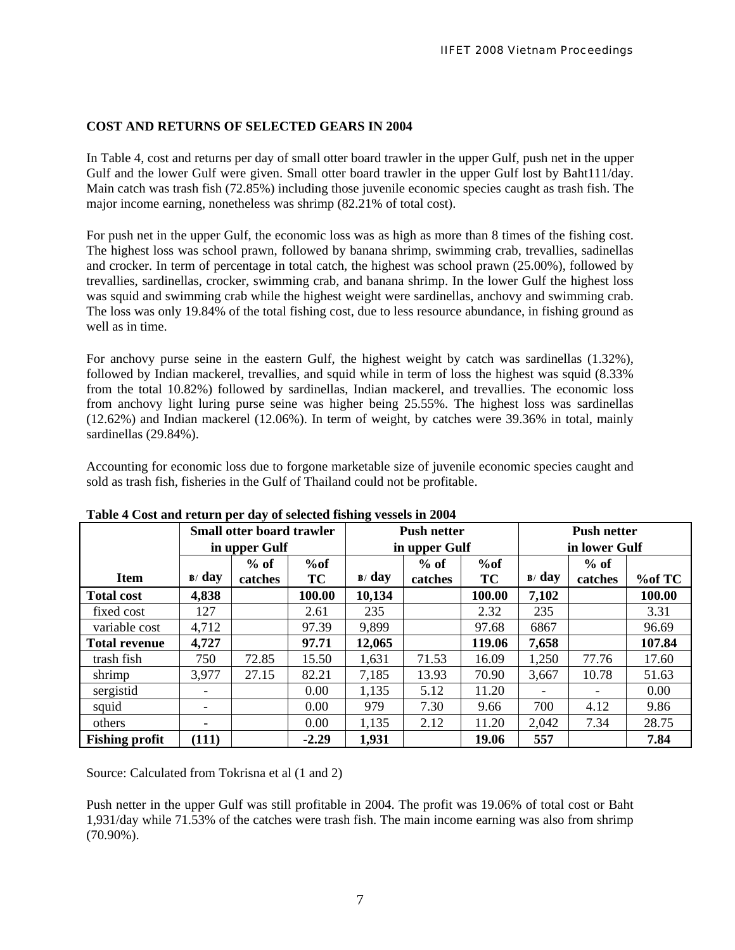# **COST AND RETURNS OF SELECTED GEARS IN 2004**

In Table 4, cost and returns per day of small otter board trawler in the upper Gulf, push net in the upper Gulf and the lower Gulf were given. Small otter board trawler in the upper Gulf lost by Baht111/day. Main catch was trash fish (72.85%) including those juvenile economic species caught as trash fish. The major income earning, nonetheless was shrimp (82.21% of total cost).

For push net in the upper Gulf, the economic loss was as high as more than 8 times of the fishing cost. The highest loss was school prawn, followed by banana shrimp, swimming crab, trevallies, sadinellas and crocker. In term of percentage in total catch, the highest was school prawn (25.00%), followed by trevallies, sardinellas, crocker, swimming crab, and banana shrimp. In the lower Gulf the highest loss was squid and swimming crab while the highest weight were sardinellas, anchovy and swimming crab. The loss was only 19.84% of the total fishing cost, due to less resource abundance, in fishing ground as well as in time.

For anchovy purse seine in the eastern Gulf, the highest weight by catch was sardinellas (1.32%), followed by Indian mackerel, trevallies, and squid while in term of loss the highest was squid (8.33% from the total 10.82%) followed by sardinellas, Indian mackerel, and trevallies. The economic loss from anchovy light luring purse seine was higher being 25.55%. The highest loss was sardinellas (12.62%) and Indian mackerel (12.06%). In term of weight, by catches were 39.36% in total, mainly sardinellas (29.84%).

Accounting for economic loss due to forgone marketable size of juvenile economic species caught and sold as trash fish, fisheries in the Gulf of Thailand could not be profitable.

|                       | <b>Small otter board trawler</b> |         |         | $\sim$<br><b>Push netter</b> |         |           | <b>Push netter</b> |                          |        |
|-----------------------|----------------------------------|---------|---------|------------------------------|---------|-----------|--------------------|--------------------------|--------|
|                       | in upper Gulf                    |         |         | in upper Gulf                |         |           | in lower Gulf      |                          |        |
|                       |                                  | $%$ of  | %of     |                              | $%$ of  | %of       |                    | $%$ of                   |        |
| <b>Item</b>           | $\mathbf{B}$ day                 | catches | TC      | $\mathbf{B}$ day             | catches | <b>TC</b> | $\mathbf{B}$ day   | catches                  | %of TC |
| <b>Total cost</b>     | 4,838                            |         | 100.00  | 10,134                       |         | 100.00    | 7,102              |                          | 100.00 |
| fixed cost            | 127                              |         | 2.61    | 235                          |         | 2.32      | 235                |                          | 3.31   |
| variable cost         | 4,712                            |         | 97.39   | 9,899                        |         | 97.68     | 6867               |                          | 96.69  |
| <b>Total revenue</b>  | 4,727                            |         | 97.71   | 12,065                       |         | 119.06    | 7,658              |                          | 107.84 |
| trash fish            | 750                              | 72.85   | 15.50   | 1,631                        | 71.53   | 16.09     | 1,250              | 77.76                    | 17.60  |
| shrimp                | 3,977                            | 27.15   | 82.21   | 7,185                        | 13.93   | 70.90     | 3,667              | 10.78                    | 51.63  |
| sergistid             |                                  |         | 0.00    | 1,135                        | 5.12    | 11.20     |                    | $\overline{\phantom{0}}$ | 0.00   |
| squid                 | -                                |         | 0.00    | 979                          | 7.30    | 9.66      | 700                | 4.12                     | 9.86   |
| others                |                                  |         | 0.00    | 1,135                        | 2.12    | 11.20     | 2,042              | 7.34                     | 28.75  |
| <b>Fishing profit</b> | (111)                            |         | $-2.29$ | 1,931                        |         | 19.06     | 557                |                          | 7.84   |

**Table 4 Cost and return per day of selected fishing vessels in 2004** 

Source: Calculated from Tokrisna et al (1 and 2)

Push netter in the upper Gulf was still profitable in 2004. The profit was 19.06% of total cost or Baht 1,931/day while 71.53% of the catches were trash fish. The main income earning was also from shrimp (70.90%).